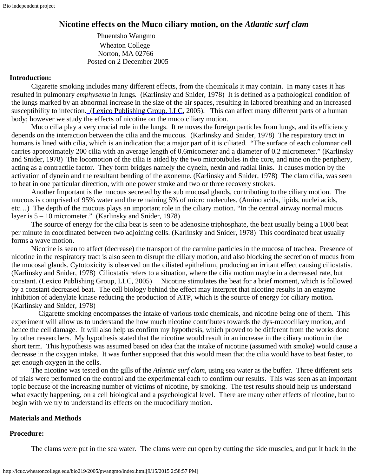# **Nicotine effects on the Muco ciliary motion, on the** *Atlantic surf clam*

 Phuentsho Wangmo Wheaton College Norton, MA 02766 Posted on 2 December 2005

## **Introduction:**

Cigarette smoking includes many different effects, from the chemicals it may contain. In many cases it has resulted in pulmonary *emphysema* in lungs*.* (Karlinsky and Snider, 1978) It is defined as a pathological condition of the lungs marked by an abnormal increase in the size of the air spaces, resulting in labored breathing and an increased susceptibility to infection. [\(Lexico Publishing](http://dictionary.reference.com/go/http:/www.lexico.com/) Group, LLC, 2005). This can affect many different parts of a human body; however we study the effects of nicotine on the muco ciliary motion.

Muco cilia play a very crucial role in the lungs. It removes the foreign particles from lungs, and its efficiency depends on the interaction between the cilia and the mucous. (Karlinsky and Snider, 1978) The respiratory tract in humans is lined with cilia, which is an indication that a major part of it is ciliated. "The surface of each columnar cell carries approximately 200 cilia with an average length of 0.6micometer and a diameter of 0.2 micrometer." (Karlinsky and Snider, 1978) The locomotion of the cilia is aided by the two microtubules in the core, and nine on the periphery, acting as a contractile factor. They form bridges namely the dynein, nexin and radial links. It causes motion by the activation of dynein and the resultant bending of the axoneme. (Karlinsky and Snider, 1978) The clam cilia, was seen to beat in one particular direction, with one power stroke and two or three recovery strokes.

Another Important is the mucous secreted by the sub mucosal glands, contributing to the ciliary motion. The mucous is comprised of 95% water and the remaining 5% of micro molecules. (Amino acids, lipids, nuclei acids, etc…) The depth of the mucous plays an important role in the ciliary motion. "In the central airway normal mucus layer is 5 – 10 micrometer." (Karlinsky and Snider, 1978)

The source of energy for the cilia beat is seen to be adenosine triphosphate, the beat usually being a 1000 beat per minute in coordinated between two adjoining cells. (Karlinsky and Snider, 1978) This coordinated beat usually forms a wave motion.

Nicotine is seen to affect (decrease) the transport of the carmine particles in the mucosa of trachea. Presence of nicotine in the respiratory tract is also seen to disrupt the ciliary motion, and also blocking the secretion of mucus from the mucosal glands. Cytotoxicity is observed on the ciliated epithelium, producing an irritant effect causing ciliostatis. (Karlinsky and Snider, 1978) Ciliostatis refers to a situation, where the cilia motion maybe in a decreased rate, but constant. ([Lexico Publishing](http://dictionary.reference.com/go/http:/www.lexico.com/) Group, LLC, 2005) Nicotine stimulates the beat for a brief moment, which is followed by a constant decreased beat. The cell biology behind the effect may interpret that nicotine results in an enzyme inhibition of adenylate kinase reducing the production of ATP, which is the source of energy for ciliary motion. (Karlinsky and Snider, 1978)

 Cigarette smoking encompasses the intake of various toxic chemicals, and nicotine being one of them. This experiment will allow us to understand the how much nicotine contributes towards the dys-mucociliary motion, and hence the cell damage. It will also help us confirm my hypothesis, which proved to be different from the works done by other researchers. My hypothesis stated that the nicotine would result in an increase in the ciliary motion in the short term. This hypothesis was assumed based on idea that the intake of nicotine (assumed with smoke) would cause a decrease in the oxygen intake. It was further supposed that this would mean that the cilia would have to beat faster, to get enough oxygen in the cells.

The nicotine was tested on the gills of the *Atlantic surf clam*, using sea water as the buffer. Three different sets of trials were performed on the control and the experimental each to confirm our results. This was seen as an important topic because of the increasing number of victims of nicotine, by smoking. The test results should help us understand what exactly happening, on a cell biological and a psychological level. There are many other effects of nicotine, but to begin with we try to understand its effects on the mucociliary motion.

# **Materials and Methods**

### **Procedure:**

The clams were put in the sea water. The clams were cut open by cutting the side muscles, and put it back in the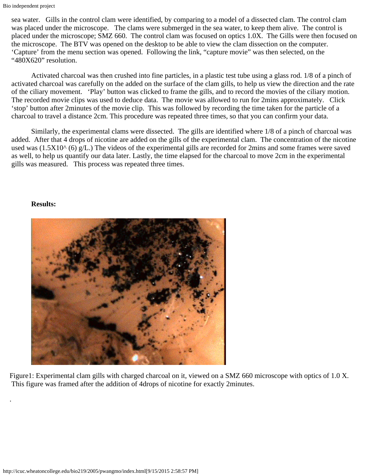sea water. Gills in the control clam were identified, by comparing to a model of a dissected clam. The control clam was placed under the microscope. The clams were submerged in the sea water, to keep them alive. The control is placed under the microscope; SMZ 660. The control clam was focused on optics 1.0X. The Gills were then focused on the microscope. The BTV was opened on the desktop to be able to view the clam dissection on the computer. 'Capture' from the menu section was opened. Following the link, "capture movie" was then selected, on the "480X620" resolution.

Activated charcoal was then crushed into fine particles, in a plastic test tube using a glass rod. 1/8 of a pinch of activated charcoal was carefully on the added on the surface of the clam gills, to help us view the direction and the rate of the ciliary movement. 'Play' button was clicked to frame the gills, and to record the movies of the ciliary motion. The recorded movie clips was used to deduce data. The movie was allowed to run for 2mins approximately. Click 'stop' button after 2minutes of the movie clip. This was followed by recording the time taken for the particle of a charcoal to travel a distance 2cm. This procedure was repeated three times, so that you can confirm your data.

Similarly, the experimental clams were dissected. The gills are identified where 1/8 of a pinch of charcoal was added. After that 4 drops of nicotine are added on the gills of the experimental clam. The concentration of the nicotine used was  $(1.5X10<sup>0</sup> (6) g/L)$ . The videos of the experimental gills are recorded for 2mins and some frames were saved as well, to help us quantify our data later. Lastly, the time elapsed for the charcoal to move 2cm in the experimental gills was measured. This process was repeated three times.

### **Results:**

.



Figure1: Experimental clam gills with charged charcoal on it, viewed on a SMZ 660 microscope with optics of 1.0 X. This figure was framed after the addition of 4drops of nicotine for exactly 2minutes.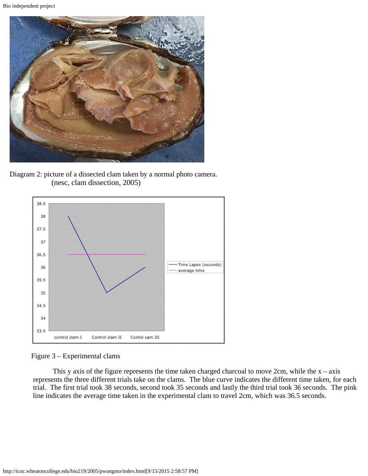

Diagram 2: picture of a dissected clam taken by a normal photo camera. (nesc, clam dissection, 2005)



Figure 3 – Experimental clams

This y axis of the figure represents the time taken charged charcoal to move 2cm, while the  $x - axis$  represents the three different trials take on the clams. The blue curve indicates the different time taken, for each trial. The first trial took 38 seconds, second took 35 seconds and lastly the third trial took 36 seconds. The pink line indicates the average time taken in the experimental clam to travel 2cm, which was 36.5 seconds.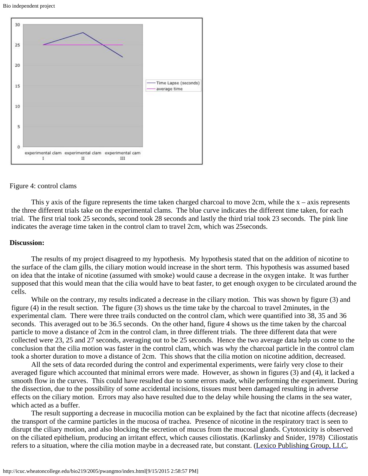



#### Figure 4: control clams

This y axis of the figure represents the time taken charged charcoal to move  $2cm$ , while the  $x - axis$  represents the three different trials take on the experimental clams. The blue curve indicates the different time taken, for each trial. The first trial took 25 seconds, second took 28 seconds and lastly the third trial took 23 seconds. The pink line indicates the average time taken in the control clam to travel 2cm, which was 25seconds.

#### **Discussion:**

The results of my project disagreed to my hypothesis. My hypothesis stated that on the addition of nicotine to the surface of the clam gills, the ciliary motion would increase in the short term. This hypothesis was assumed based on idea that the intake of nicotine (assumed with smoke) would cause a decrease in the oxygen intake. It was further supposed that this would mean that the cilia would have to beat faster, to get enough oxygen to be circulated around the cells.

While on the contrary, my results indicated a decrease in the ciliary motion. This was shown by figure (3) and figure (4) in the result section. The figure (3) shows us the time take by the charcoal to travel 2minutes, in the experimental clam. There were three trails conducted on the control clam, which were quantified into 38, 35 and 36 seconds. This averaged out to be 36.5 seconds. On the other hand, figure 4 shows us the time taken by the charcoal particle to move a distance of 2cm in the control clam, in three different trials. The three different data that were collected were 23, 25 and 27 seconds, averaging out to be 25 seconds. Hence the two average data help us come to the conclusion that the cilia motion was faster in the control clam, which was why the charcoal particle in the control clam took a shorter duration to move a distance of 2cm. This shows that the cilia motion on nicotine addition, decreased.

All the sets of data recorded during the control and experimental experiments, were fairly very close to their averaged figure which accounted that minimal errors were made. However, as shown in figures (3) and (4), it lacked a smooth flow in the curves. This could have resulted due to some errors made, while performing the experiment. During the dissection, due to the possibility of some accidental incisions, tissues must been damaged resulting in adverse effects on the ciliary motion. Errors may also have resulted due to the delay while housing the clams in the sea water, which acted as a buffer.

The result supporting a decrease in mucocilia motion can be explained by the fact that nicotine affects (decrease) the transport of the carmine particles in the mucosa of trachea. Presence of nicotine in the respiratory tract is seen to disrupt the ciliary motion, and also blocking the secretion of mucus from the mucosal glands. Cytotoxicity is observed on the ciliated epithelium, producing an irritant effect, which causes ciliostatis. (Karlinsky and Snider, 1978) Ciliostatis refers to a situation, where the cilia motion maybe in a decreased rate, but constant. [\(Lexico Publishing](http://dictionary.reference.com/go/http:/www.lexico.com/) Group, LLC,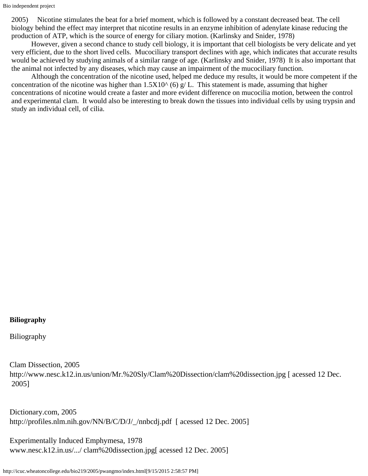2005) Nicotine stimulates the beat for a brief moment, which is followed by a constant decreased beat. The cell biology behind the effect may interpret that nicotine results in an enzyme inhibition of adenylate kinase reducing the production of ATP, which is the source of energy for ciliary motion. (Karlinsky and Snider, 1978)

However, given a second chance to study cell biology, it is important that cell biologists be very delicate and yet very efficient, due to the short lived cells. Mucociliary transport declines with age, which indicates that accurate results would be achieved by studying animals of a similar range of age. (Karlinsky and Snider, 1978) It is also important that the animal not infected by any diseases, which may cause an impairment of the mucociliary function.

Although the concentration of the nicotine used, helped me deduce my results, it would be more competent if the concentration of the nicotine was higher than  $1.5X10^{\wedge}$  (6) g/ L. This statement is made, assuming that higher concentrations of nicotine would create a faster and more evident difference on mucocilia motion, between the control and experimental clam. It would also be interesting to break down the tissues into individual cells by using trypsin and study an individual cell, of cilia.

# **Biliography**

Biliography

Clam Dissection, 2005 http://www.nesc.k12.in.us/union/Mr.%20Sly/Clam%20Dissection/clam%20dissection.jpg [ acessed 12 Dec. 2005]

Dictionary.com, 2005 http://profiles.nlm.nih.gov/NN/B/C/D/J/\_/nnbcdj.pdf [ acessed 12 Dec. 2005]

Experimentally Induced Emphymesa, 1978 www.nesc.k12.in.us/.../ clam%20dissection.jpg[ acessed 12 Dec. 2005]